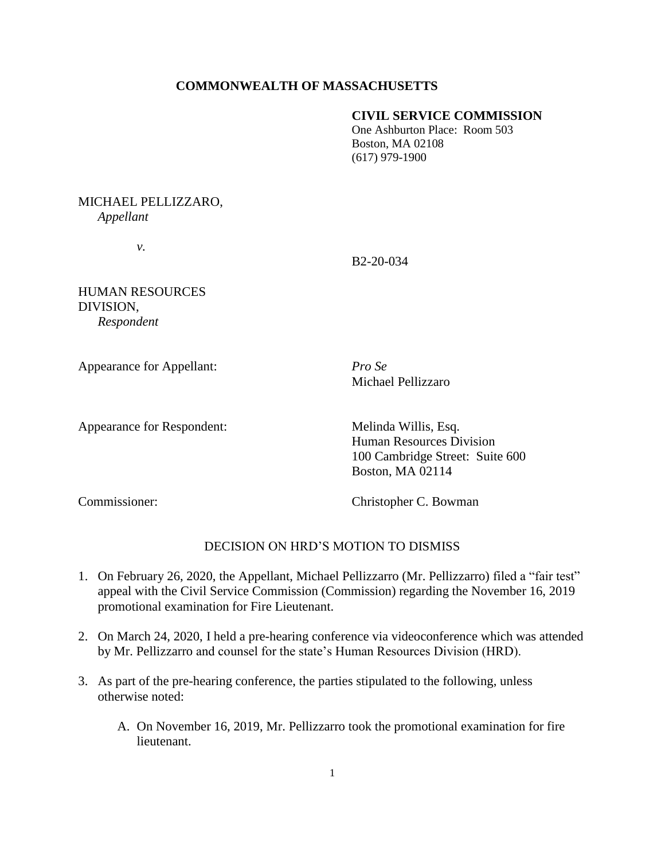### **COMMONWEALTH OF MASSACHUSETTS**

#### **CIVIL SERVICE COMMISSION**

One Ashburton Place: Room 503 Boston, MA 02108 (617) 979-1900

MICHAEL PELLIZZARO, *Appellant*

*v.*

B2-20-034

HUMAN RESOURCES DIVISION, *Respondent* 

Appearance for Appellant: *Pro Se*

Michael Pellizzaro

Appearance for Respondent: Melinda Willis, Esq.

Human Resources Division 100 Cambridge Street: Suite 600 Boston, MA 02114

Commissioner: Christopher C. Bowman

## DECISION ON HRD'S MOTION TO DISMISS

- 1. On February 26, 2020, the Appellant, Michael Pellizzarro (Mr. Pellizzarro) filed a "fair test" appeal with the Civil Service Commission (Commission) regarding the November 16, 2019 promotional examination for Fire Lieutenant.
- 2. On March 24, 2020, I held a pre-hearing conference via videoconference which was attended by Mr. Pellizzarro and counsel for the state's Human Resources Division (HRD).
- 3. As part of the pre-hearing conference, the parties stipulated to the following, unless otherwise noted:
	- A. On November 16, 2019, Mr. Pellizzarro took the promotional examination for fire lieutenant.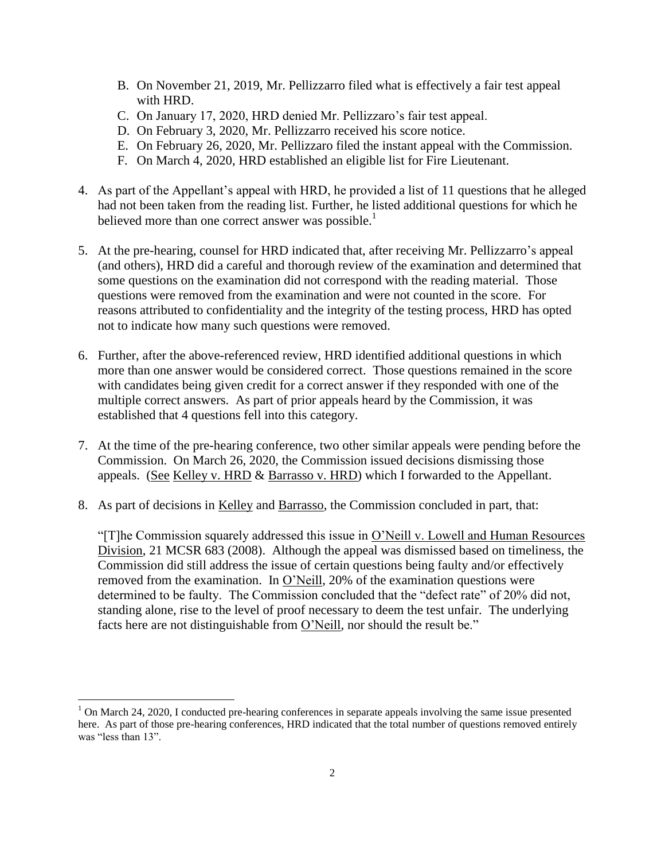- B. On November 21, 2019, Mr. Pellizzarro filed what is effectively a fair test appeal with HRD.
- C. On January 17, 2020, HRD denied Mr. Pellizzaro's fair test appeal.
- D. On February 3, 2020, Mr. Pellizzarro received his score notice.
- E. On February 26, 2020, Mr. Pellizzaro filed the instant appeal with the Commission.
- F. On March 4, 2020, HRD established an eligible list for Fire Lieutenant.
- 4. As part of the Appellant's appeal with HRD, he provided a list of 11 questions that he alleged had not been taken from the reading list. Further, he listed additional questions for which he believed more than one correct answer was possible.<sup>1</sup>
- 5. At the pre-hearing, counsel for HRD indicated that, after receiving Mr. Pellizzarro's appeal (and others), HRD did a careful and thorough review of the examination and determined that some questions on the examination did not correspond with the reading material. Those questions were removed from the examination and were not counted in the score. For reasons attributed to confidentiality and the integrity of the testing process, HRD has opted not to indicate how many such questions were removed.
- 6. Further, after the above-referenced review, HRD identified additional questions in which more than one answer would be considered correct. Those questions remained in the score with candidates being given credit for a correct answer if they responded with one of the multiple correct answers. As part of prior appeals heard by the Commission, it was established that 4 questions fell into this category.
- 7. At the time of the pre-hearing conference, two other similar appeals were pending before the Commission. On March 26, 2020, the Commission issued decisions dismissing those appeals. (See Kelley v. HRD & Barrasso v. HRD) which I forwarded to the Appellant.
- 8. As part of decisions in Kelley and Barrasso, the Commission concluded in part, that:

"[T]he Commission squarely addressed this issue in O'Neill v. Lowell and Human Resources Division, 21 MCSR 683 (2008). Although the appeal was dismissed based on timeliness, the Commission did still address the issue of certain questions being faulty and/or effectively removed from the examination. In O'Neill, 20% of the examination questions were determined to be faulty. The Commission concluded that the "defect rate" of 20% did not, standing alone, rise to the level of proof necessary to deem the test unfair. The underlying facts here are not distinguishable from O'Neill, nor should the result be."

 $\overline{a}$ 

<sup>&</sup>lt;sup>1</sup> On March 24, 2020, I conducted pre-hearing conferences in separate appeals involving the same issue presented here. As part of those pre-hearing conferences, HRD indicated that the total number of questions removed entirely was "less than 13".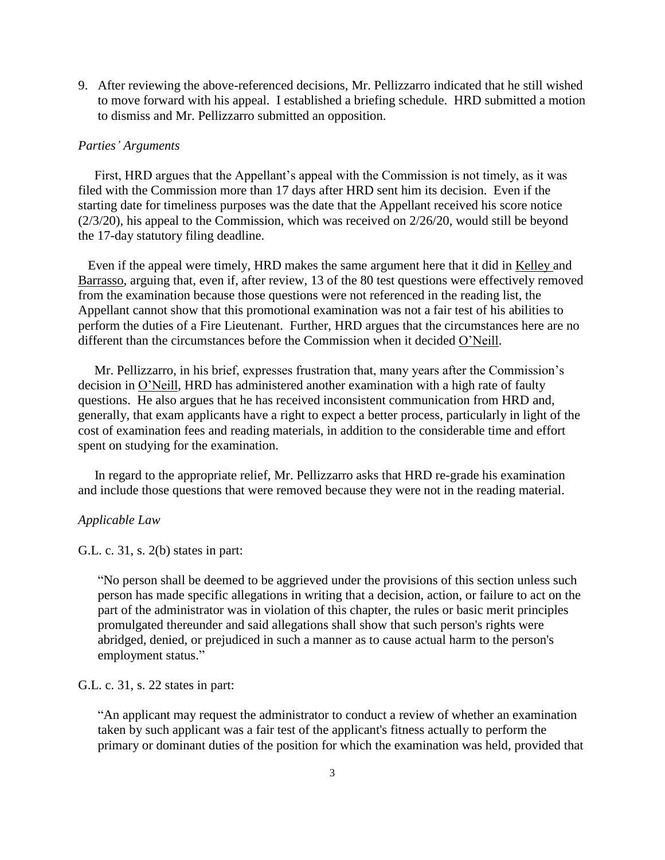9. After reviewing the above-referenced decisions, Mr. Pellizzarro indicated that he still wished to move forward with his appeal. I established a briefing schedule. HRD submitted a motion to dismiss and Mr. Pellizzarro submitted an opposition.

#### *Parties' Arguments*

 First, HRD argues that the Appellant's appeal with the Commission is not timely, as it was filed with the Commission more than 17 days after HRD sent him its decision. Even if the starting date for timeliness purposes was the date that the Appellant received his score notice  $(2/3/20)$ , his appeal to the Commission, which was received on  $2/26/20$ , would still be beyond the 17-day statutory filing deadline.

 Even if the appeal were timely, HRD makes the same argument here that it did in Kelley and Barrasso, arguing that, even if, after review, 13 of the 80 test questions were effectively removed from the examination because those questions were not referenced in the reading list, the Appellant cannot show that this promotional examination was not a fair test of his abilities to perform the duties of a Fire Lieutenant. Further, HRD argues that the circumstances here are no different than the circumstances before the Commission when it decided O'Neill.

 Mr. Pellizzarro, in his brief, expresses frustration that, many years after the Commission's decision in O'Neill, HRD has administered another examination with a high rate of faulty questions. He also argues that he has received inconsistent communication from HRD and, generally, that exam applicants have a right to expect a better process, particularly in light of the cost of examination fees and reading materials, in addition to the considerable time and effort spent on studying for the examination.

 In regard to the appropriate relief, Mr. Pellizzarro asks that HRD re-grade his examination and include those questions that were removed because they were not in the reading material.

#### *Applicable Law*

G.L. c. 31, s. 2(b) states in part:

"No person shall be deemed to be aggrieved under the provisions of this section unless such person has made specific allegations in writing that a decision, action, or failure to act on the part of the administrator was in violation of this chapter, the rules or basic merit principles promulgated thereunder and said allegations shall show that such person's rights were abridged, denied, or prejudiced in such a manner as to cause actual harm to the person's employment status."

G.L. c. 31, s. 22 states in part:

"An applicant may request the administrator to conduct a review of whether an examination taken by such applicant was a fair test of the applicant's fitness actually to perform the primary or dominant duties of the position for which the examination was held, provided that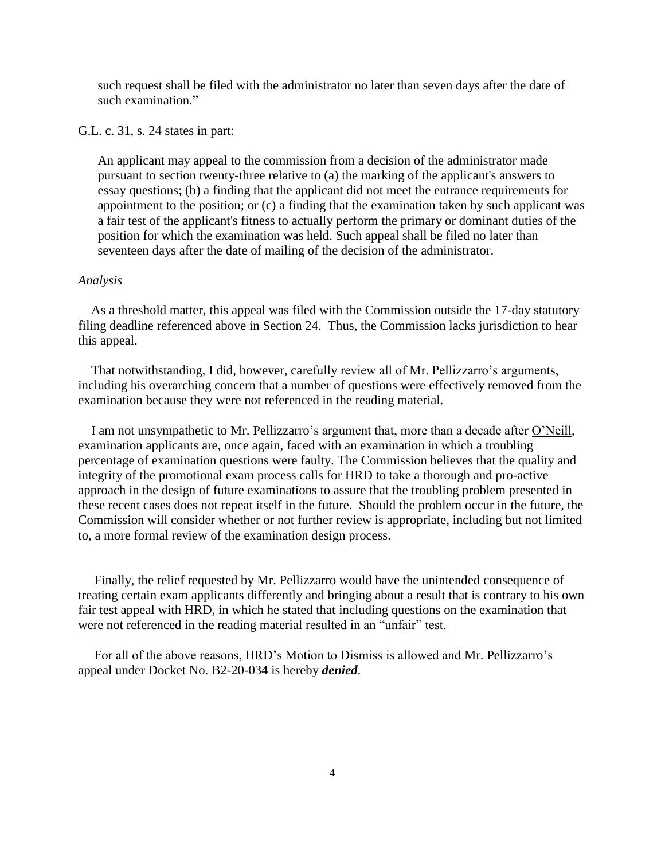such request shall be filed with the administrator no later than seven days after the date of such examination."

G.L. c. 31, s. 24 states in part:

An applicant may appeal to the commission from a decision of the administrator made pursuant to section twenty-three relative to (a) the marking of the applicant's answers to essay questions; (b) a finding that the applicant did not meet the entrance requirements for appointment to the position; or (c) a finding that the examination taken by such applicant was a fair test of the applicant's fitness to actually perform the primary or dominant duties of the position for which the examination was held. Such appeal shall be filed no later than seventeen days after the date of mailing of the decision of the administrator.

#### *Analysis*

 As a threshold matter, this appeal was filed with the Commission outside the 17-day statutory filing deadline referenced above in Section 24. Thus, the Commission lacks jurisdiction to hear this appeal.

 That notwithstanding, I did, however, carefully review all of Mr. Pellizzarro's arguments, including his overarching concern that a number of questions were effectively removed from the examination because they were not referenced in the reading material.

 I am not unsympathetic to Mr. Pellizzarro's argument that, more than a decade after O'Neill, examination applicants are, once again, faced with an examination in which a troubling percentage of examination questions were faulty. The Commission believes that the quality and integrity of the promotional exam process calls for HRD to take a thorough and pro-active approach in the design of future examinations to assure that the troubling problem presented in these recent cases does not repeat itself in the future. Should the problem occur in the future, the Commission will consider whether or not further review is appropriate, including but not limited to, a more formal review of the examination design process.

 Finally, the relief requested by Mr. Pellizzarro would have the unintended consequence of treating certain exam applicants differently and bringing about a result that is contrary to his own fair test appeal with HRD, in which he stated that including questions on the examination that were not referenced in the reading material resulted in an "unfair" test.

 For all of the above reasons, HRD's Motion to Dismiss is allowed and Mr. Pellizzarro's appeal under Docket No. B2-20-034 is hereby *denied*.